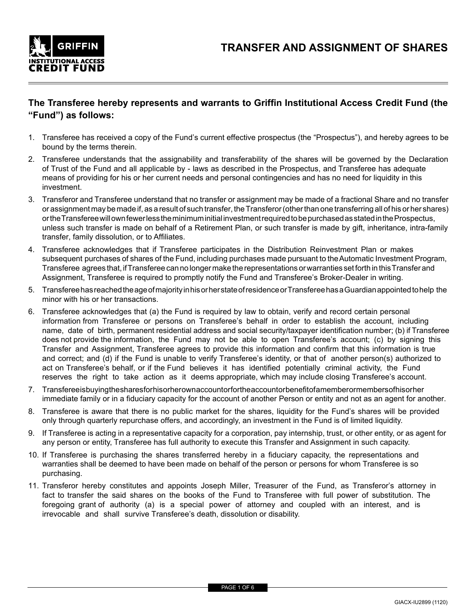

## **The Transferee hereby represents and warrants to Griffin Institutional Access Credit Fund (the "Fund") as follows:**

- 1. Transferee has received a copy of the Fund's current effective prospectus (the "Prospectus"), and hereby agrees to be bound by the terms therein.
- 2. Transferee understands that the assignability and transferability of the shares will be governed by the Declaration of Trust of the Fund and all applicable by - laws as described in the Prospectus, and Transferee has adequate means of providing for his or her current needs and personal contingencies and has no need for liquidity in this investment.
- 3. Transferor and Transferee understand that no transfer or assignment may be made of a fractional Share and no transfer or assignment may be made if, as a result of such transfer, the Transferor (other than one transferring all of his or her shares) or the Transferee will own fewer less the minimum initial investment required to be purchased as stated in the Prospectus, unless such transfer is made on behalf of a Retirement Plan, or such transfer is made by gift, inheritance, intra-family transfer, family dissolution, or to Affiliates.
- 4. Transferee acknowledges that if Transferee participates in the Distribution Reinvestment Plan or makes subsequent purchases of shares of the Fund, including purchases made pursuant to the Automatic Investment Program, Transferee agrees that, if Transferee can no longer make the representations or warranties set forth in this Transfer and Assignment, Transferee is required to promptly notify the Fund and Transferee's Broker-Dealer in writing.
- 5. Transferee has reached the age of majority in his or her state of residence or Transferee has a Guardian appointed to help the minor with his or her transactions.
- 6. Transferee acknowledges that (a) the Fund is required by law to obtain, verify and record certain personal information from Transferee or persons on Transferee's behalf in order to establish the account, including name, date of birth, permanent residential address and social security/taxpayer identification number; (b) if Transferee does not provide the information, the Fund may not be able to open Transferee's account; (c) by signing this Transfer and Assignment, Transferee agrees to provide this information and confirm that this information is true and correct; and (d) if the Fund is unable to verify Transferee's identity, or that of another person(s) authorized to act on Transferee's behalf, or if the Fund believes it has identified potentially criminal activity, the Fund reserves the right to take action as it deems appropriate, which may include closing Transferee's account.
- 7. Transferee is buying the shares for his or herown account or for the account or benefit of a member or members of his or her immediate family or in a fiduciary capacity for the account of another Person or entity and not as an agent for another.
- 8. Transferee is aware that there is no public market for the shares, liquidity for the Fund's shares will be provided only through quarterly repurchase offers, and accordingly, an investment in the Fund is of limited liquidity.
- 9. If Transferee is acting in a representative capacity for a corporation, pay internship, trust, or other entity, or as agent for any person or entity, Transferee has full authority to execute this Transfer and Assignment in such capacity.
- 10. If Transferee is purchasing the shares transferred hereby in a fiduciary capacity, the representations and warranties shall be deemed to have been made on behalf of the person or persons for whom Transferee is so purchasing.
- 11. Transferor hereby constitutes and appoints Joseph Miller, Treasurer of the Fund, as Transferor's attorney in fact to transfer the said shares on the books of the Fund to Transferee with full power of substitution. The foregoing grant of authority (a) is a special power of attorney and coupled with an interest, and is irrevocable and shall survive Transferee's death, dissolution or disability.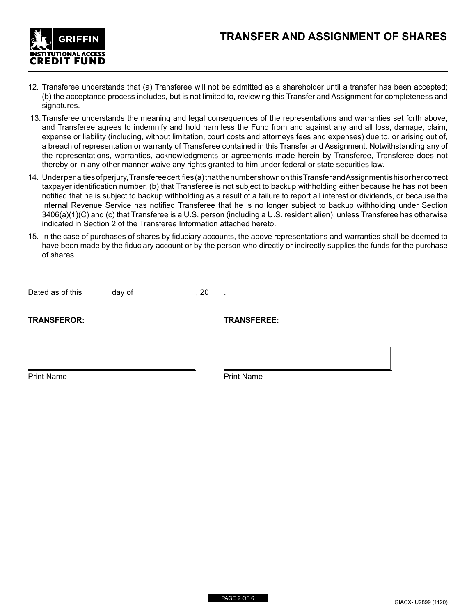

- 12. Transferee understands that (a) Transferee will not be admitted as a shareholder until a transfer has been accepted; (b) the acceptance process includes, but is not limited to, reviewing this Transfer and Assignment for completeness and signatures.
- 13.Transferee understands the meaning and legal consequences of the representations and warranties set forth above, and Transferee agrees to indemnify and hold harmless the Fund from and against any and all loss, damage, claim, expense or liability (including, without limitation, court costs and attorneys fees and expenses) due to, or arising out of, a breach of representation or warranty of Transferee contained in this Transfer and Assignment. Notwithstanding any of the representations, warranties, acknowledgments or agreements made herein by Transferee, Transferee does not thereby or in any other manner waive any rights granted to him under federal or state securities law.
- 14. Under penalties of perjury, Transferee certifies (a) that the number shown on this Transfer and Assignment is his or her correct taxpayer identification number, (b) that Transferee is not subject to backup withholding either because he has not been notified that he is subject to backup withholding as a result of a failure to report all interest or dividends, or because the Internal Revenue Service has notified Transferee that he is no longer subject to backup withholding under Section 3406(a)(1)(C) and (c) that Transferee is a U.S. person (including a U.S. resident alien), unless Transferee has otherwise indicated in Section 2 of the Transferee Information attached hereto.
- 15. In the case of purchases of shares by fiduciary accounts, the above representations and warranties shall be deemed to have been made by the fiduciary account or by the person who directly or indirectly supplies the funds for the purchase of shares.

Dated as of this \_\_\_\_\_\_\_ day of \_\_\_\_\_\_\_\_\_\_\_\_\_\_\_. 20

**TRANSFEROR: TRANSFEREE:**

Print Name **Print Name**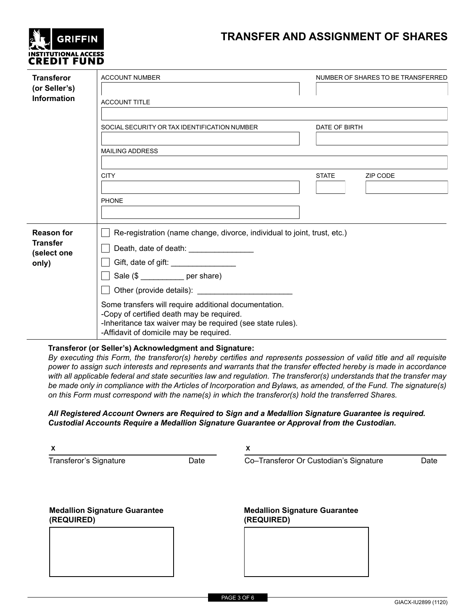## **TRANSFER AND ASSIGNMENT OF SHARES**

| <b>L</b> GRIFFIN                                  |
|---------------------------------------------------|
| <b>INSTITUTIONAL ACCESS</b><br><b>CREDIT FUND</b> |

| <b>Transferor</b><br>(or Seller's)<br><b>Information</b>     | <b>ACCOUNT NUMBER</b><br><b>ACCOUNT TITLE</b>                                                                                                                                                                                                                                                                                                                                                                     |               | NUMBER OF SHARES TO BE TRANSFERRED |
|--------------------------------------------------------------|-------------------------------------------------------------------------------------------------------------------------------------------------------------------------------------------------------------------------------------------------------------------------------------------------------------------------------------------------------------------------------------------------------------------|---------------|------------------------------------|
|                                                              | SOCIAL SECURITY OR TAX IDENTIFICATION NUMBER<br><b>MAILING ADDRESS</b>                                                                                                                                                                                                                                                                                                                                            | DATE OF BIRTH |                                    |
|                                                              | <b>CITY</b>                                                                                                                                                                                                                                                                                                                                                                                                       | <b>STATE</b>  | ZIP CODE                           |
|                                                              | <b>PHONE</b>                                                                                                                                                                                                                                                                                                                                                                                                      |               |                                    |
| <b>Reason for</b><br><b>Transfer</b><br>(select one<br>only) | Re-registration (name change, divorce, individual to joint, trust, etc.)<br>Death, date of death: _________________<br>Gift, date of gift: ____________________<br>Sale (\$ ___________ per share)<br>Some transfers will require additional documentation.<br>-Copy of certified death may be required.<br>-Inheritance tax waiver may be required (see state rules).<br>-Affidavit of domicile may be required. |               |                                    |

### **Transferor (or Seller's) Acknowledgment and Signature:**

*By executing this Form, the transferor(s) hereby certifies and represents possession of valid title and all requisite power to assign such interests and represents and warrants that the transfer effected hereby is made in accordance with all applicable federal and state securities law and regulation. The transferor(s) understands that the transfer may be made only in compliance with the Articles of Incorporation and Bylaws, as amended, of the Fund. The signature(s) on this Form must correspond with the name(s) in which the transferor(s) hold the transferred Shares.*

### *All Registered Account Owners are Required to Sign and a Medallion Signature Guarantee is required. Custodial Accounts Require a Medallion Signature Guarantee or Approval from the Custodian.*

| X                                                  |      | x                                                  |      |  |  |
|----------------------------------------------------|------|----------------------------------------------------|------|--|--|
| Transferor's Signature                             | Date | Co-Transferor Or Custodian's Signature             | Date |  |  |
| <b>Medallion Signature Guarantee</b><br>(REQUIRED) |      | <b>Medallion Signature Guarantee</b><br>(REQUIRED) |      |  |  |
|                                                    |      |                                                    |      |  |  |
|                                                    |      |                                                    |      |  |  |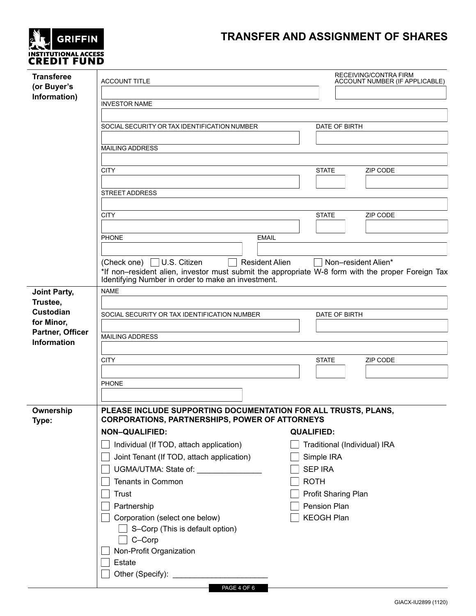# **TRANSFER AND ASSIGNMENT OF SHARES**

| <b>T.</b> GRIFFIN                          |
|--------------------------------------------|
| INSTITUTIONAL ACCESS<br><b>CREDIT FUND</b> |
|                                            |

| <b>Transferee</b><br>(or Buyer's<br>Information) | <b>ACCOUNT TITLE</b><br><b>INVESTOR NAME</b>                                                                                                                                                                        |                     | RECEIVING/CONTRA FIRM<br>ACCOUNT NUMBER (IF APPLICABLE) |
|--------------------------------------------------|---------------------------------------------------------------------------------------------------------------------------------------------------------------------------------------------------------------------|---------------------|---------------------------------------------------------|
|                                                  | SOCIAL SECURITY OR TAX IDENTIFICATION NUMBER                                                                                                                                                                        |                     | DATE OF BIRTH                                           |
|                                                  | <b>MAILING ADDRESS</b>                                                                                                                                                                                              |                     |                                                         |
|                                                  | <b>CITY</b>                                                                                                                                                                                                         | <b>STATE</b>        | <b>ZIP CODE</b>                                         |
|                                                  | <b>STREET ADDRESS</b>                                                                                                                                                                                               |                     |                                                         |
|                                                  | <b>CITY</b>                                                                                                                                                                                                         | <b>STATE</b>        | ZIP CODE                                                |
|                                                  | <b>PHONE</b><br><b>EMAIL</b>                                                                                                                                                                                        |                     |                                                         |
|                                                  |                                                                                                                                                                                                                     |                     |                                                         |
|                                                  | (Check one) $\Box$ U.S. Citizen<br><b>Resident Alien</b><br>*If non–resident alien, investor must submit the appropriate W-8 form with the proper Foreign Tax<br>Identifying Number in order to make an investment. |                     | Non-resident Alien*                                     |
| <b>Joint Party,</b><br>Trustee,                  | <b>NAME</b>                                                                                                                                                                                                         |                     |                                                         |
| Custodian<br>for Minor,                          | SOCIAL SECURITY OR TAX IDENTIFICATION NUMBER                                                                                                                                                                        |                     | DATE OF BIRTH                                           |
| Partner, Officer                                 | <b>MAILING ADDRESS</b>                                                                                                                                                                                              |                     |                                                         |
| <b>Information</b>                               |                                                                                                                                                                                                                     |                     |                                                         |
|                                                  | <b>CITY</b>                                                                                                                                                                                                         | <b>STATE</b>        | ZIP CODE                                                |
|                                                  |                                                                                                                                                                                                                     |                     |                                                         |
|                                                  | <b>PHONE</b>                                                                                                                                                                                                        |                     |                                                         |
|                                                  |                                                                                                                                                                                                                     |                     |                                                         |
| Ownership<br>Type:                               | PLEASE INCLUDE SUPPORTING DOCUMENTATION FOR ALL TRUSTS, PLANS,<br><b>CORPORATIONS, PARTNERSHIPS, POWER OF ATTORNEYS</b>                                                                                             |                     |                                                         |
|                                                  | <b>NON-QUALIFIED:</b>                                                                                                                                                                                               | <b>QUALIFIED:</b>   |                                                         |
|                                                  | Individual (If TOD, attach application)                                                                                                                                                                             |                     | Traditional (Individual) IRA                            |
|                                                  | Joint Tenant (If TOD, attach application)                                                                                                                                                                           | Simple IRA          |                                                         |
|                                                  | UGMA/UTMA: State of: _______________                                                                                                                                                                                | <b>SEP IRA</b>      |                                                         |
|                                                  | Tenants in Common                                                                                                                                                                                                   | <b>ROTH</b>         |                                                         |
|                                                  | <b>Trust</b>                                                                                                                                                                                                        | Profit Sharing Plan |                                                         |
|                                                  | Partnership                                                                                                                                                                                                         | Pension Plan        |                                                         |
|                                                  | Corporation (select one below)<br>S-Corp (This is default option)                                                                                                                                                   | <b>KEOGH Plan</b>   |                                                         |
|                                                  | C-Corp                                                                                                                                                                                                              |                     |                                                         |
|                                                  | Non-Profit Organization                                                                                                                                                                                             |                     |                                                         |
|                                                  | Estate                                                                                                                                                                                                              |                     |                                                         |
|                                                  |                                                                                                                                                                                                                     |                     |                                                         |
|                                                  | PAGE 4 OF 6                                                                                                                                                                                                         |                     |                                                         |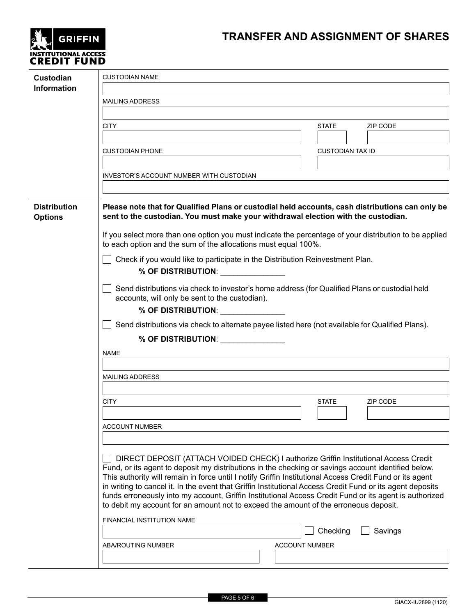# **GRIFFIN** INSTITUTIONAL ACCESS<br>**CREDIT FUND**

# **TRANSFER AND ASSIGNMENT OF SHARES**

| Custodian<br><b>Information</b>       | <b>CUSTODIAN NAME</b>                                                                                                                                                                                                                                                                                                                                                                                                                                                                                                                                                                                                                                                                                                                                                                                      |                                              |
|---------------------------------------|------------------------------------------------------------------------------------------------------------------------------------------------------------------------------------------------------------------------------------------------------------------------------------------------------------------------------------------------------------------------------------------------------------------------------------------------------------------------------------------------------------------------------------------------------------------------------------------------------------------------------------------------------------------------------------------------------------------------------------------------------------------------------------------------------------|----------------------------------------------|
|                                       | <b>MAILING ADDRESS</b>                                                                                                                                                                                                                                                                                                                                                                                                                                                                                                                                                                                                                                                                                                                                                                                     |                                              |
|                                       | <b>CITY</b>                                                                                                                                                                                                                                                                                                                                                                                                                                                                                                                                                                                                                                                                                                                                                                                                | <b>STATE</b><br><b>ZIP CODE</b>              |
|                                       |                                                                                                                                                                                                                                                                                                                                                                                                                                                                                                                                                                                                                                                                                                                                                                                                            |                                              |
|                                       | <b>CUSTODIAN PHONE</b>                                                                                                                                                                                                                                                                                                                                                                                                                                                                                                                                                                                                                                                                                                                                                                                     | <b>CUSTODIAN TAX ID</b>                      |
|                                       | INVESTOR'S ACCOUNT NUMBER WITH CUSTODIAN                                                                                                                                                                                                                                                                                                                                                                                                                                                                                                                                                                                                                                                                                                                                                                   |                                              |
| <b>Distribution</b><br><b>Options</b> | Please note that for Qualified Plans or custodial held accounts, cash distributions can only be<br>sent to the custodian. You must make your withdrawal election with the custodian.<br>If you select more than one option you must indicate the percentage of your distribution to be applied<br>to each option and the sum of the allocations must equal 100%.<br>Check if you would like to participate in the Distribution Reinvestment Plan.<br>% OF DISTRIBUTION:<br>Send distributions via check to investor's home address (for Qualified Plans or custodial held<br>accounts, will only be sent to the custodian).<br>% OF DISTRIBUTION:<br>Send distributions via check to alternate payee listed here (not available for Qualified Plans).<br>% OF DISTRIBUTION: _______________<br><b>NAME</b> |                                              |
|                                       | <b>MAILING ADDRESS</b>                                                                                                                                                                                                                                                                                                                                                                                                                                                                                                                                                                                                                                                                                                                                                                                     |                                              |
|                                       |                                                                                                                                                                                                                                                                                                                                                                                                                                                                                                                                                                                                                                                                                                                                                                                                            |                                              |
|                                       | <b>CITY</b>                                                                                                                                                                                                                                                                                                                                                                                                                                                                                                                                                                                                                                                                                                                                                                                                | <b>STATE</b><br><b>ZIP CODE</b>              |
|                                       | <b>ACCOUNT NUMBER</b>                                                                                                                                                                                                                                                                                                                                                                                                                                                                                                                                                                                                                                                                                                                                                                                      |                                              |
|                                       | DIRECT DEPOSIT (ATTACH VOIDED CHECK) I authorize Griffin Institutional Access Credit<br>Fund, or its agent to deposit my distributions in the checking or savings account identified below.<br>This authority will remain in force until I notify Griffin Institutional Access Credit Fund or its agent<br>in writing to cancel it. In the event that Griffin Institutional Access Credit Fund or its agent deposits<br>funds erroneously into my account, Griffin Institutional Access Credit Fund or its agent is authorized<br>to debit my account for an amount not to exceed the amount of the erroneous deposit.<br>FINANCIAL INSTITUTION NAME                                                                                                                                                       | Checking<br>Savings<br><b>ACCOUNT NUMBER</b> |
|                                       | ABA/ROUTING NUMBER                                                                                                                                                                                                                                                                                                                                                                                                                                                                                                                                                                                                                                                                                                                                                                                         |                                              |
|                                       |                                                                                                                                                                                                                                                                                                                                                                                                                                                                                                                                                                                                                                                                                                                                                                                                            |                                              |